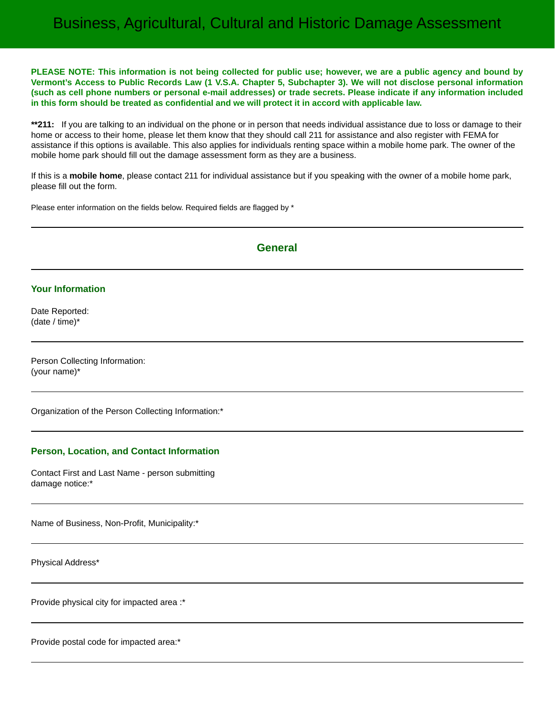# Business, Agricultural, Cultural and Historic Damage Assessment

**PLEASE NOTE: This information is not being collected for public use; however, we are a public agency and bound by Vermont's Access to Public Records Law (1 V.S.A. Chapter 5, Subchapter 3). We will not disclose personal information (such as cell phone numbers or personal e-mail addresses) or trade secrets. Please indicate if any information included in this form should be treated as confidential and we will protect it in accord with applicable law.**

**\*\*211:** If you are talking to an individual on the phone or in person that needs individual assistance due to loss or damage to their home or access to their home, please let them know that they should call 211 for assistance and also register with FEMA for assistance if this options is available. This also applies for individuals renting space within a mobile home park. The owner of the mobile home park should fill out the damage assessment form as they are a business.

If this is a **mobile home**, please contact 211 for individual assistance but if you speaking with the owner of a mobile home park, please fill out the form.

Please enter information on the fields below. Required fields are flagged by \*

## **General**

### **Your Information**

Date Reported: (date / time)\*

Person Collecting Information: (your name)\*

Organization of the Person Collecting Information:\*

#### **Person, Location, and Contact Information**

Contact First and Last Name - person submitting damage notice:\*

Name of Business, Non-Profit, Municipality:\*

Physical Address\*

Provide physical city for impacted area :\*

Provide postal code for impacted area:\*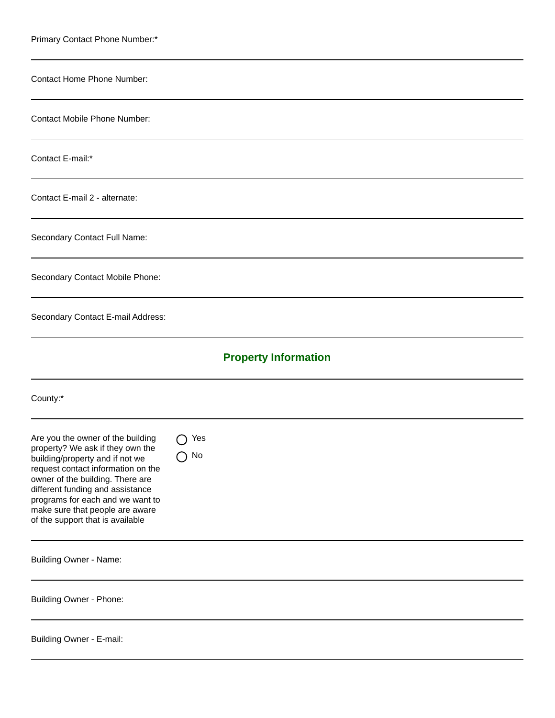| Primary Contact Phone Number:*                                                                                                                                                                                                                                                                                                                  |                             |
|-------------------------------------------------------------------------------------------------------------------------------------------------------------------------------------------------------------------------------------------------------------------------------------------------------------------------------------------------|-----------------------------|
| <b>Contact Home Phone Number:</b>                                                                                                                                                                                                                                                                                                               |                             |
| <b>Contact Mobile Phone Number:</b>                                                                                                                                                                                                                                                                                                             |                             |
| Contact E-mail:*                                                                                                                                                                                                                                                                                                                                |                             |
| Contact E-mail 2 - alternate:                                                                                                                                                                                                                                                                                                                   |                             |
| Secondary Contact Full Name:                                                                                                                                                                                                                                                                                                                    |                             |
| Secondary Contact Mobile Phone:                                                                                                                                                                                                                                                                                                                 |                             |
| Secondary Contact E-mail Address:                                                                                                                                                                                                                                                                                                               |                             |
|                                                                                                                                                                                                                                                                                                                                                 | <b>Property Information</b> |
| County:*                                                                                                                                                                                                                                                                                                                                        |                             |
| Are you the owner of the building $\bigcap$ Yes<br>property? We ask if they own the<br>building/property and if not we<br>request contact information on the<br>owner of the building. There are<br>different funding and assistance<br>programs for each and we want to<br>make sure that people are aware<br>of the support that is available | No<br>$\rightarrow$         |
| <b>Building Owner - Name:</b>                                                                                                                                                                                                                                                                                                                   |                             |
| <b>Building Owner - Phone:</b>                                                                                                                                                                                                                                                                                                                  |                             |
| Building Owner - E-mail:                                                                                                                                                                                                                                                                                                                        |                             |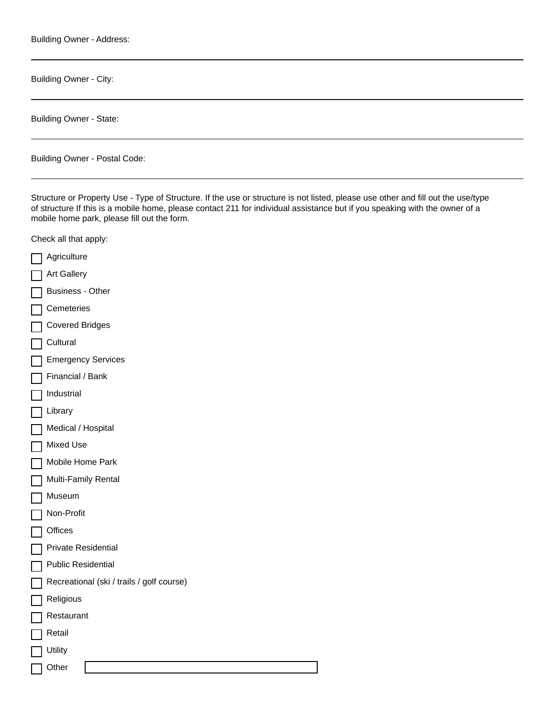Building Owner - Address:

Building Owner - City:

Building Owner - State:

Building Owner - Postal Code:

Structure or Property Use - Type of Structure. If the use or structure is not listed, please use other and fill out the use/type of structure If this is a mobile home, please contact 211 for individual assistance but if you speaking with the owner of a mobile home park, please fill out the form.

Check all that apply:

Agriculture Art Gallery Business - Other **Cemeteries** Covered Bridges **Cultural Emergency Services** Financial / Bank Industrial Library Medical / Hospital Mixed Use Mobile Home Park Multi-Family Rental Museum Non-Profit **Offices** Private Residential Public Residential Recreational (ski / trails / golf course) Religious Restaurant Retail **Utility Other**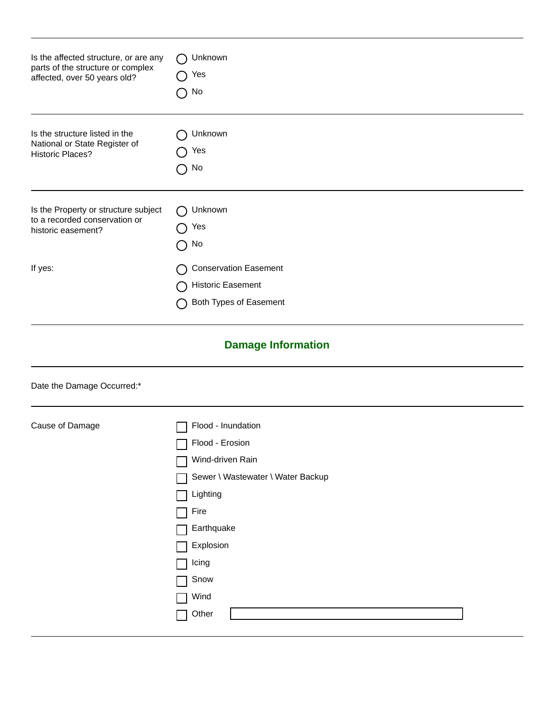| Is the affected structure, or are any | Unknown                                                                            |  |  |
|---------------------------------------|------------------------------------------------------------------------------------|--|--|
| parts of the structure or complex     | Yes                                                                                |  |  |
| affected, over 50 years old?          | No                                                                                 |  |  |
| Is the structure listed in the        | Unknown                                                                            |  |  |
| National or State Register of         | Yes                                                                                |  |  |
| <b>Historic Places?</b>               | No                                                                                 |  |  |
| Is the Property or structure subject  | Unknown                                                                            |  |  |
| to a recorded conservation or         | Yes                                                                                |  |  |
| historic easement?                    | No                                                                                 |  |  |
| If yes:                               | <b>Conservation Easement</b><br><b>Historic Easement</b><br>Both Types of Easement |  |  |
| <b>Damage Information</b>             |                                                                                    |  |  |
| Date the Damage Occurred:*            |                                                                                    |  |  |

| Cause of Damage | Flood - Inundation                |
|-----------------|-----------------------------------|
|                 | Flood - Erosion                   |
|                 | Wind-driven Rain                  |
|                 | Sewer \ Wastewater \ Water Backup |
|                 | Lighting                          |
|                 | Fire                              |
|                 | Earthquake                        |
|                 | Explosion                         |
|                 | Icing                             |
|                 | Snow                              |
|                 | Wind                              |
|                 | Other                             |
|                 |                                   |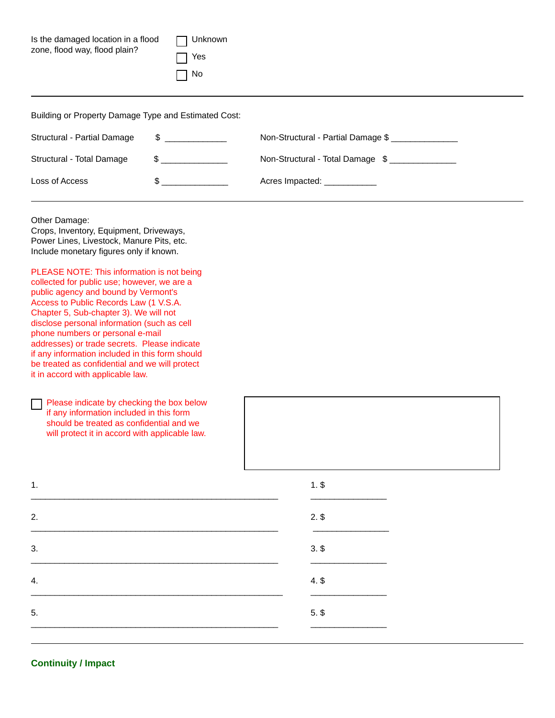| Is the damaged location in a flood<br>zone, flood way, flood plain?                                                                                                                                                                                                                                                                                                                                                                                                                                                                                                                                                                                                                                                                                                                                                                           | Unknown<br>Yes<br>No |                                    |  |  |
|-----------------------------------------------------------------------------------------------------------------------------------------------------------------------------------------------------------------------------------------------------------------------------------------------------------------------------------------------------------------------------------------------------------------------------------------------------------------------------------------------------------------------------------------------------------------------------------------------------------------------------------------------------------------------------------------------------------------------------------------------------------------------------------------------------------------------------------------------|----------------------|------------------------------------|--|--|
| Building or Property Damage Type and Estimated Cost:                                                                                                                                                                                                                                                                                                                                                                                                                                                                                                                                                                                                                                                                                                                                                                                          |                      |                                    |  |  |
| $\frac{1}{2}$<br>Structural - Partial Damage                                                                                                                                                                                                                                                                                                                                                                                                                                                                                                                                                                                                                                                                                                                                                                                                  |                      | Non-Structural - Partial Damage \$ |  |  |
| Structural - Total Damage                                                                                                                                                                                                                                                                                                                                                                                                                                                                                                                                                                                                                                                                                                                                                                                                                     | $\frac{1}{2}$        | Non-Structural - Total Damage \$   |  |  |
| \$<br>Loss of Access                                                                                                                                                                                                                                                                                                                                                                                                                                                                                                                                                                                                                                                                                                                                                                                                                          |                      | Acres Impacted: ____________       |  |  |
| Other Damage:<br>Crops, Inventory, Equipment, Driveways,<br>Power Lines, Livestock, Manure Pits, etc.<br>Include monetary figures only if known.<br>PLEASE NOTE: This information is not being<br>collected for public use; however, we are a<br>public agency and bound by Vermont's<br>Access to Public Records Law (1 V.S.A.<br>Chapter 5, Sub-chapter 3). We will not<br>disclose personal information (such as cell<br>phone numbers or personal e-mail<br>addresses) or trade secrets. Please indicate<br>if any information included in this form should<br>be treated as confidential and we will protect<br>it in accord with applicable law.<br>Please indicate by checking the box below<br>if any information included in this form<br>should be treated as confidential and we<br>will protect it in accord with applicable law. |                      |                                    |  |  |
| 1.                                                                                                                                                                                                                                                                                                                                                                                                                                                                                                                                                                                                                                                                                                                                                                                                                                            |                      | $1.$ \$                            |  |  |
| 2.                                                                                                                                                                                                                                                                                                                                                                                                                                                                                                                                                                                                                                                                                                                                                                                                                                            |                      | $2.$ \$                            |  |  |
| 3.                                                                                                                                                                                                                                                                                                                                                                                                                                                                                                                                                                                                                                                                                                                                                                                                                                            |                      | $3.$ \$                            |  |  |
| 4.                                                                                                                                                                                                                                                                                                                                                                                                                                                                                                                                                                                                                                                                                                                                                                                                                                            |                      | $4.$ \$                            |  |  |
| 5.                                                                                                                                                                                                                                                                                                                                                                                                                                                                                                                                                                                                                                                                                                                                                                                                                                            |                      | $5.$ \$                            |  |  |

## **Continuity / Impact**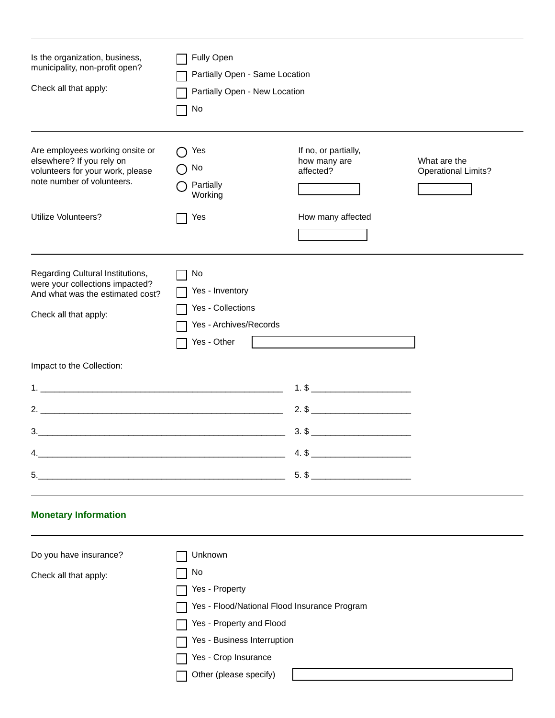| Is the organization, business,<br>municipality, non-profit open?<br>Check all that apply:                                                             | Fully Open<br>Partially Open - Same Location<br>Partially Open - New Location<br>No                                                                                                          |                                                                                                              |                                            |  |
|-------------------------------------------------------------------------------------------------------------------------------------------------------|----------------------------------------------------------------------------------------------------------------------------------------------------------------------------------------------|--------------------------------------------------------------------------------------------------------------|--------------------------------------------|--|
| Are employees working onsite or<br>elsewhere? If you rely on<br>volunteers for your work, please<br>note number of volunteers.<br>Utilize Volunteers? | Yes<br>No<br>Partially<br>Working<br>Yes                                                                                                                                                     | If no, or partially,<br>how many are<br>affected?<br>How many affected                                       | What are the<br><b>Operational Limits?</b> |  |
| Regarding Cultural Institutions,<br>were your collections impacted?<br>And what was the estimated cost?<br>Check all that apply:                      | No<br>Yes - Inventory<br>Yes - Collections<br>Yes - Archives/Records<br>Yes - Other                                                                                                          |                                                                                                              |                                            |  |
| Impact to the Collection:<br>2.<br>3.<br>4.<br>5.<br><u> 2008 - Andrea Andrew Maria (b. 1982)</u>                                                     |                                                                                                                                                                                              | $1.$ \$ $\_$<br>$3.$ \$<br>$4.$ \$<br>the control of the control of the control of the control of<br>$5.$ \$ |                                            |  |
| <b>Monetary Information</b><br>Do you have insurance?<br>Check all that apply:                                                                        | Unknown<br>No<br>Yes - Property<br>Yes - Flood/National Flood Insurance Program<br>Yes - Property and Flood<br>Yes - Business Interruption<br>Yes - Crop Insurance<br>Other (please specify) |                                                                                                              |                                            |  |